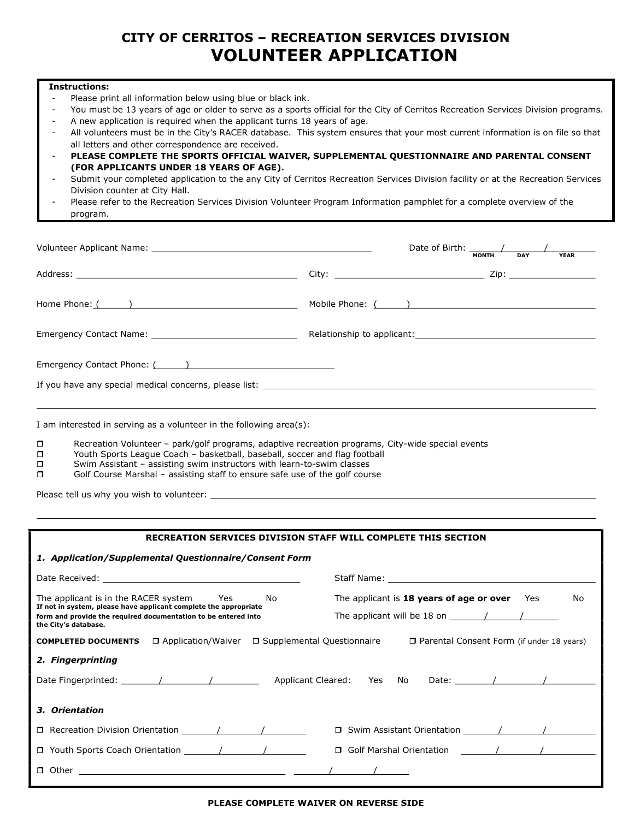## CITY OF CERRITOS – RECREATION SERVICES DIVISION VOLUNTEER APPLICATION

#### Instructions:

- Please print all information below using blue or black ink.
- You must be 13 years of age or older to serve as a sports official for the City of Cerritos Recreation Services Division programs.
- A new application is required when the applicant turns 18 years of age.
- All volunteers must be in the City's RACER database. This system ensures that your most current information is on file so that all letters and other correspondence are received.
- PLEASE COMPLETE THE SPORTS OFFICIAL WAIVER, SUPPLEMENTAL QUESTIONNAIRE AND PARENTAL CONSENT (FOR APPLICANTS UNDER 18 YEARS OF AGE).
- Submit your completed application to the any City of Cerritos Recreation Services Division facility or at the Recreation Services Division counter at City Hall.
- Please refer to the Recreation Services Division Volunteer Program Information pamphlet for a complete overview of the program.

|                                                        | Date of Birth: $\frac{1}{\sqrt{1-\frac{1}{2}}}\left\vert \frac{1}{\sqrt{1-\frac{1}{2}}}\right\vert$<br><b>YEAR</b><br><b>MONTH</b><br><b>DAY</b> |  |  |  |
|--------------------------------------------------------|--------------------------------------------------------------------------------------------------------------------------------------------------|--|--|--|
|                                                        |                                                                                                                                                  |  |  |  |
|                                                        | Mobile Phone: ( )                                                                                                                                |  |  |  |
|                                                        |                                                                                                                                                  |  |  |  |
| If you have any special medical concerns, please list: |                                                                                                                                                  |  |  |  |
|                                                        |                                                                                                                                                  |  |  |  |

I am interested in serving as a volunteer in the following area(s):

- $\square$  Recreation Volunteer park/golf programs, adaptive recreation programs, City-wide special events Recreation Sports League Coach basketball, baseball, soccer and flag football
- Youth Sports League Coach basketball, baseball, soccer and flag football
- $\square$  Swim Assistant assisting swim instructors with learn-to-swim classes
- $\Box$  Golf Course Marshal assisting staff to ensure safe use of the golf course

Please tell us why you wish to volunteer:

| RECREATION SERVICES DIVISION STAFF WILL COMPLETE THIS SECTION                                                   |                                                       |  |  |  |
|-----------------------------------------------------------------------------------------------------------------|-------------------------------------------------------|--|--|--|
| 1. Application/Supplemental Questionnaire/Consent Form                                                          |                                                       |  |  |  |
|                                                                                                                 |                                                       |  |  |  |
| The applicant is in the RACER system Yes No<br>If not in system, please have applicant complete the appropriate | The applicant is 18 years of age or over<br>Yes<br>No |  |  |  |
| form and provide the required documentation to be entered into<br>the City's database.                          | The applicant will be 18 on $\left( \right)$ /        |  |  |  |
| □ Application/Waiver □ Supplemental Questionnaire<br><b>COMPLETED DOCUMENTS</b>                                 | □ Parental Consent Form (if under 18 years)           |  |  |  |
| 2. Fingerprinting                                                                                               |                                                       |  |  |  |
|                                                                                                                 |                                                       |  |  |  |
| 3. Orientation                                                                                                  |                                                       |  |  |  |
| □ Recreation Division Orientation   / / / /                                                                     | □ Swim Assistant Orientation / / / /                  |  |  |  |
|                                                                                                                 |                                                       |  |  |  |
|                                                                                                                 |                                                       |  |  |  |

#### PLEASE COMPLETE WAIVER ON REVERSE SIDE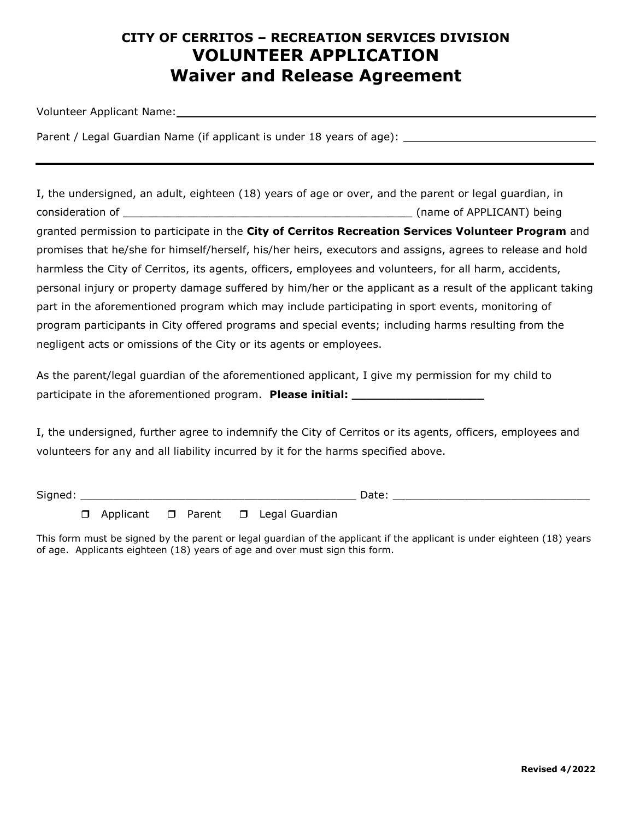# CITY OF CERRITOS – RECREATION SERVICES DIVISION VOLUNTEER APPLICATION Waiver and Release Agreement

Volunteer Applicant Name:

Parent / Legal Guardian Name (if applicant is under 18 years of age):

I, the undersigned, an adult, eighteen (18) years of age or over, and the parent or legal guardian, in consideration of \_\_\_\_\_\_\_\_\_\_\_\_\_\_\_\_\_\_\_\_\_\_\_\_\_\_\_\_\_\_\_\_\_\_\_\_\_\_\_\_\_\_\_\_ (name of APPLICANT) being granted permission to participate in the City of Cerritos Recreation Services Volunteer Program and promises that he/she for himself/herself, his/her heirs, executors and assigns, agrees to release and hold harmless the City of Cerritos, its agents, officers, employees and volunteers, for all harm, accidents, personal injury or property damage suffered by him/her or the applicant as a result of the applicant taking part in the aforementioned program which may include participating in sport events, monitoring of program participants in City offered programs and special events; including harms resulting from the negligent acts or omissions of the City or its agents or employees.

As the parent/legal guardian of the aforementioned applicant, I give my permission for my child to participate in the aforementioned program. Please initial: \_\_\_\_\_\_\_\_\_\_\_\_\_\_\_\_\_\_\_\_\_

I, the undersigned, further agree to indemnify the City of Cerritos or its agents, officers, employees and volunteers for any and all liability incurred by it for the harms specified above.

Signed: \_\_\_\_\_\_\_\_\_\_\_\_\_\_\_\_\_\_\_\_\_\_\_\_\_\_\_\_\_\_\_\_\_\_\_\_\_\_\_\_\_\_ Date: \_\_\_\_\_\_\_\_\_\_\_\_\_\_\_\_\_\_\_\_\_\_\_\_\_\_\_\_\_\_

 $\Box$  Applicant  $\Box$  Parent  $\Box$  Legal Guardian

This form must be signed by the parent or legal guardian of the applicant if the applicant is under eighteen (18) years of age. Applicants eighteen (18) years of age and over must sign this form.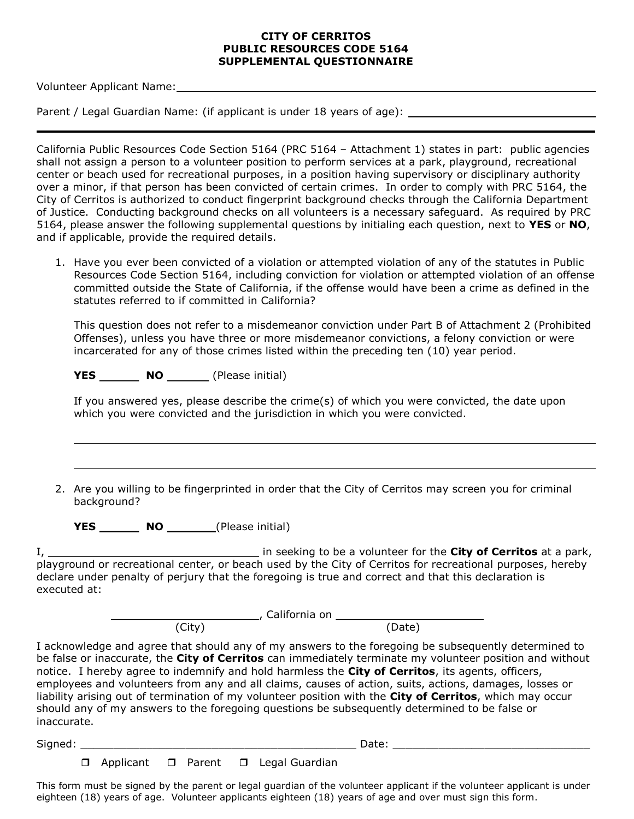#### CITY OF CERRITOS PUBLIC RESOURCES CODE 5164 SUPPLEMENTAL QUESTIONNAIRE

Volunteer Applicant Name:

Parent / Legal Guardian Name: (if applicant is under 18 years of age):

California Public Resources Code Section 5164 (PRC 5164 – Attachment 1) states in part: public agencies shall not assign a person to a volunteer position to perform services at a park, playground, recreational center or beach used for recreational purposes, in a position having supervisory or disciplinary authority over a minor, if that person has been convicted of certain crimes. In order to comply with PRC 5164, the City of Cerritos is authorized to conduct fingerprint background checks through the California Department of Justice. Conducting background checks on all volunteers is a necessary safeguard. As required by PRC 5164, please answer the following supplemental questions by initialing each question, next to YES or NO, and if applicable, provide the required details.

1. Have you ever been convicted of a violation or attempted violation of any of the statutes in Public Resources Code Section 5164, including conviction for violation or attempted violation of an offense committed outside the State of California, if the offense would have been a crime as defined in the statutes referred to if committed in California?

This question does not refer to a misdemeanor conviction under Part B of Attachment 2 (Prohibited Offenses), unless you have three or more misdemeanor convictions, a felony conviction or were incarcerated for any of those crimes listed within the preceding ten (10) year period.

YES \_\_\_\_\_\_\_\_\_\_ NO \_\_\_\_\_\_\_\_\_ (Please initial)

If you answered yes, please describe the crime(s) of which you were convicted, the date upon which you were convicted and the jurisdiction in which you were convicted.

2. Are you willing to be fingerprinted in order that the City of Cerritos may screen you for criminal background?

YES NO (Please initial)

I, 1. 2012 1. In seeking to be a volunteer for the City of Cerritos at a park, playground or recreational center, or beach used by the City of Cerritos for recreational purposes, hereby declare under penalty of perjury that the foregoing is true and correct and that this declaration is executed at:

, California on

(City) (Date)

I acknowledge and agree that should any of my answers to the foregoing be subsequently determined to be false or inaccurate, the City of Cerritos can immediately terminate my volunteer position and without notice. I hereby agree to indemnify and hold harmless the City of Cerritos, its agents, officers, employees and volunteers from any and all claims, causes of action, suits, actions, damages, losses or liability arising out of termination of my volunteer position with the City of Cerritos, which may occur should any of my answers to the foregoing questions be subsequently determined to be false or inaccurate.

Signed: \_\_\_\_\_\_\_\_\_\_\_\_\_\_\_\_\_\_\_\_\_\_\_\_\_\_\_\_\_\_\_\_\_\_\_\_\_\_\_\_\_\_ Date: \_\_\_\_\_\_\_\_\_\_\_\_\_\_\_\_\_\_\_\_\_\_\_\_\_\_\_\_\_\_

 $\overline{\phantom{0}}$ 

**D** Applicant **D** Parent **D** Legal Guardian

This form must be signed by the parent or legal guardian of the volunteer applicant if the volunteer applicant is under eighteen (18) years of age. Volunteer applicants eighteen (18) years of age and over must sign this form.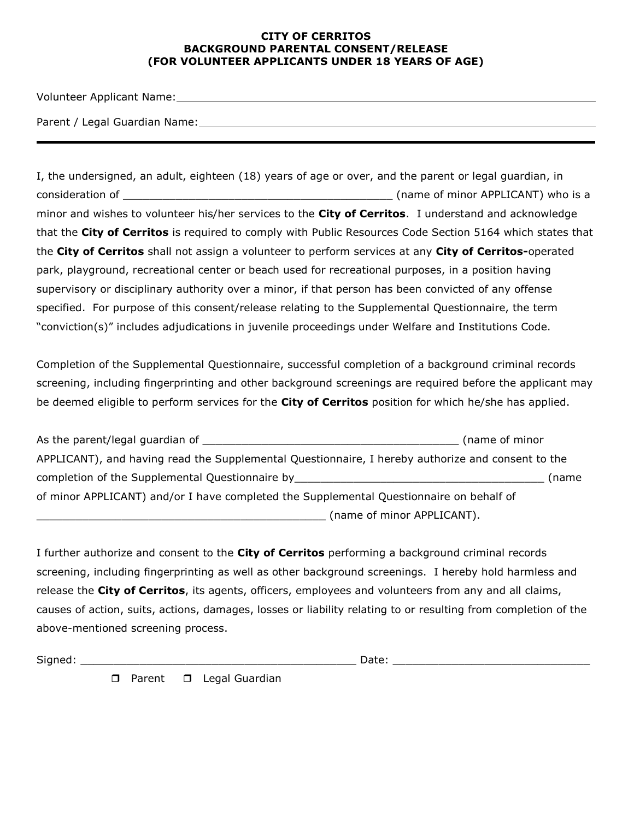#### CITY OF CERRITOS BACKGROUND PARENTAL CONSENT/RELEASE (FOR VOLUNTEER APPLICANTS UNDER 18 YEARS OF AGE)

Volunteer Applicant Name:

Parent / Legal Guardian Name:

I, the undersigned, an adult, eighteen (18) years of age or over, and the parent or legal guardian, in consideration of \_\_\_\_\_\_\_\_\_\_\_\_\_\_\_\_\_\_\_\_\_\_\_\_\_\_\_\_\_\_\_\_\_\_\_\_\_\_\_\_\_ (name of minor APPLICANT) who is a minor and wishes to volunteer his/her services to the City of Cerritos. I understand and acknowledge that the City of Cerritos is required to comply with Public Resources Code Section 5164 which states that the City of Cerritos shall not assign a volunteer to perform services at any City of Cerritos-operated park, playground, recreational center or beach used for recreational purposes, in a position having supervisory or disciplinary authority over a minor, if that person has been convicted of any offense specified. For purpose of this consent/release relating to the Supplemental Questionnaire, the term "conviction(s)" includes adjudications in juvenile proceedings under Welfare and Institutions Code.

Completion of the Supplemental Questionnaire, successful completion of a background criminal records screening, including fingerprinting and other background screenings are required before the applicant may be deemed eligible to perform services for the City of Cerritos position for which he/she has applied.

| As the parent/legal guardian of                                                                   | (name of minor |
|---------------------------------------------------------------------------------------------------|----------------|
| APPLICANT), and having read the Supplemental Questionnaire, I hereby authorize and consent to the |                |
| completion of the Supplemental Questionnaire by                                                   | name)          |
| of minor APPLICANT) and/or I have completed the Supplemental Questionnaire on behalf of           |                |
| (name of minor APPLICANT).                                                                        |                |

I further authorize and consent to the City of Cerritos performing a background criminal records screening, including fingerprinting as well as other background screenings. I hereby hold harmless and release the City of Cerritos, its agents, officers, employees and volunteers from any and all claims, causes of action, suits, actions, damages, losses or liability relating to or resulting from completion of the above-mentioned screening process.

Signed: \_\_\_\_\_\_\_\_\_\_\_\_\_\_\_\_\_\_\_\_\_\_\_\_\_\_\_\_\_\_\_\_\_\_\_\_\_\_\_\_\_\_ Date: \_\_\_\_\_\_\_\_\_\_\_\_\_\_\_\_\_\_\_\_\_\_\_\_\_\_\_\_\_\_

**D** Parent **D** Legal Guardian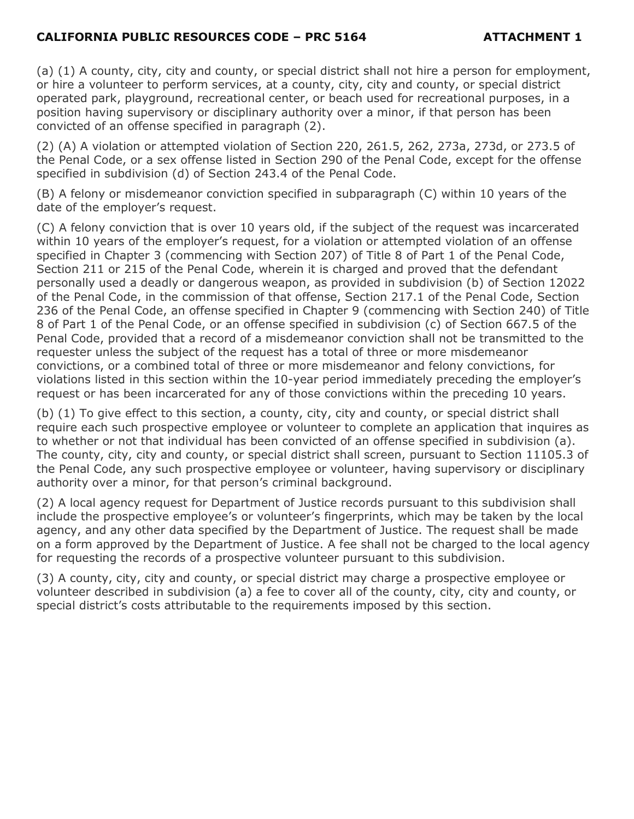## CALIFORNIA PUBLIC RESOURCES CODE – PRC 5164 ATTACHMENT 1

(a) (1) A county, city, city and county, or special district shall not hire a person for employment, or hire a volunteer to perform services, at a county, city, city and county, or special district operated park, playground, recreational center, or beach used for recreational purposes, in a position having supervisory or disciplinary authority over a minor, if that person has been convicted of an offense specified in paragraph (2).

(2) (A) A violation or attempted violation of Section 220, 261.5, 262, 273a, 273d, or 273.5 of the Penal Code, or a sex offense listed in Section 290 of the Penal Code, except for the offense specified in subdivision (d) of Section 243.4 of the Penal Code.

(B) A felony or misdemeanor conviction specified in subparagraph (C) within 10 years of the date of the employer's request.

(C) A felony conviction that is over 10 years old, if the subject of the request was incarcerated within 10 years of the employer's request, for a violation or attempted violation of an offense specified in Chapter 3 (commencing with Section 207) of Title 8 of Part 1 of the Penal Code, Section 211 or 215 of the Penal Code, wherein it is charged and proved that the defendant personally used a deadly or dangerous weapon, as provided in subdivision (b) of Section 12022 of the Penal Code, in the commission of that offense, Section 217.1 of the Penal Code, Section 236 of the Penal Code, an offense specified in Chapter 9 (commencing with Section 240) of Title 8 of Part 1 of the Penal Code, or an offense specified in subdivision (c) of Section 667.5 of the Penal Code, provided that a record of a misdemeanor conviction shall not be transmitted to the requester unless the subject of the request has a total of three or more misdemeanor convictions, or a combined total of three or more misdemeanor and felony convictions, for violations listed in this section within the 10-year period immediately preceding the employer's request or has been incarcerated for any of those convictions within the preceding 10 years.

(b) (1) To give effect to this section, a county, city, city and county, or special district shall require each such prospective employee or volunteer to complete an application that inquires as to whether or not that individual has been convicted of an offense specified in subdivision (a). The county, city, city and county, or special district shall screen, pursuant to Section 11105.3 of the Penal Code, any such prospective employee or volunteer, having supervisory or disciplinary authority over a minor, for that person's criminal background.

(2) A local agency request for Department of Justice records pursuant to this subdivision shall include the prospective employee's or volunteer's fingerprints, which may be taken by the local agency, and any other data specified by the Department of Justice. The request shall be made on a form approved by the Department of Justice. A fee shall not be charged to the local agency for requesting the records of a prospective volunteer pursuant to this subdivision.

(3) A county, city, city and county, or special district may charge a prospective employee or volunteer described in subdivision (a) a fee to cover all of the county, city, city and county, or special district's costs attributable to the requirements imposed by this section.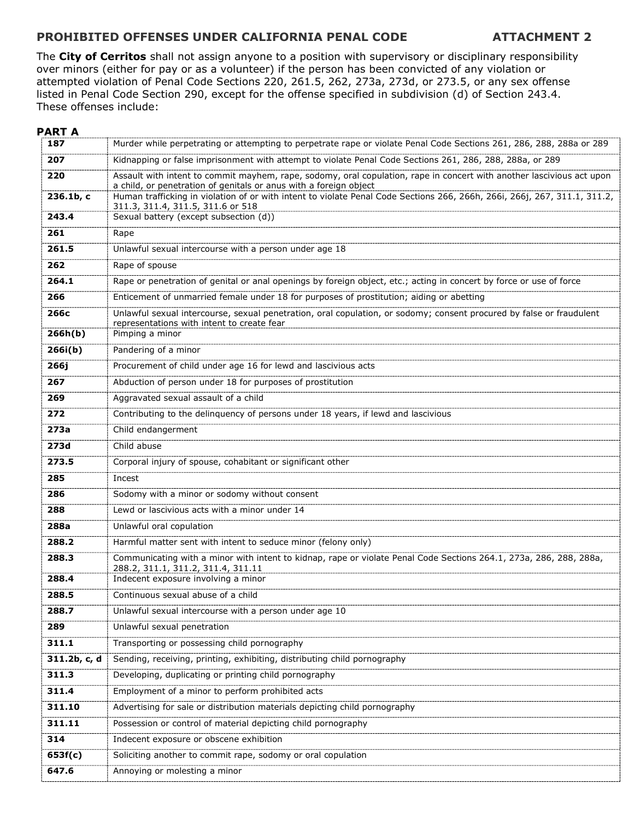## PROHIBITED OFFENSES UNDER CALIFORNIA PENAL CODE ATTACHMENT 2

The City of Cerritos shall not assign anyone to a position with supervisory or disciplinary responsibility over minors (either for pay or as a volunteer) if the person has been convicted of any violation or attempted violation of Penal Code Sections 220, 261.5, 262, 273a, 273d, or 273.5, or any sex offense listed in Penal Code Section 290, except for the offense specified in subdivision (d) of Section 243.4. These offenses include:

### PART A

| 187          | Murder while perpetrating or attempting to perpetrate rape or violate Penal Code Sections 261, 286, 288, 288a or 289                                                                       |
|--------------|--------------------------------------------------------------------------------------------------------------------------------------------------------------------------------------------|
| 207          | Kidnapping or false imprisonment with attempt to violate Penal Code Sections 261, 286, 288, 288a, or 289                                                                                   |
| 220          | Assault with intent to commit mayhem, rape, sodomy, oral copulation, rape in concert with another lascivious act upon<br>a child, or penetration of genitals or anus with a foreign object |
| 236.1b, c    | Human trafficking in violation of or with intent to violate Penal Code Sections 266, 266h, 266i, 266j, 267, 311.1, 311.2,<br>311.3, 311.4, 311.5, 311.6 or 518                             |
| 243.4        | Sexual battery (except subsection (d))                                                                                                                                                     |
| 261          | Rape                                                                                                                                                                                       |
| 261.5        | Unlawful sexual intercourse with a person under age 18                                                                                                                                     |
| 262          | Rape of spouse                                                                                                                                                                             |
| 264.1        | Rape or penetration of genital or anal openings by foreign object, etc.; acting in concert by force or use of force                                                                        |
| 266          | Enticement of unmarried female under 18 for purposes of prostitution; aiding or abetting                                                                                                   |
| 266с         | Unlawful sexual intercourse, sexual penetration, oral copulation, or sodomy; consent procured by false or fraudulent<br>representations with intent to create fear                         |
| 266h(b)      | Pimping a minor                                                                                                                                                                            |
| 266i(b)      | Pandering of a minor                                                                                                                                                                       |
| 266j         | Procurement of child under age 16 for lewd and lascivious acts                                                                                                                             |
| 267          | Abduction of person under 18 for purposes of prostitution                                                                                                                                  |
| 269          | Aggravated sexual assault of a child                                                                                                                                                       |
| 272          | Contributing to the delinquency of persons under 18 years, if lewd and lascivious                                                                                                          |
| 273a         | Child endangerment                                                                                                                                                                         |
| 273d         | Child abuse                                                                                                                                                                                |
| 273.5        | Corporal injury of spouse, cohabitant or significant other                                                                                                                                 |
| 285          | Incest                                                                                                                                                                                     |
| 286          | Sodomy with a minor or sodomy without consent                                                                                                                                              |
| 288          | Lewd or lascivious acts with a minor under 14                                                                                                                                              |
| 288a         | Unlawful oral copulation                                                                                                                                                                   |
| 288.2        | Harmful matter sent with intent to seduce minor (felony only)                                                                                                                              |
| 288.3        | Communicating with a minor with intent to kidnap, rape or violate Penal Code Sections 264.1, 273a, 286, 288, 288a,<br>288.2, 311.1, 311.2, 311.4, 311.11                                   |
| 288.4        | Indecent exposure involving a minor                                                                                                                                                        |
| 288.5        | Continuous sexual abuse of a child                                                                                                                                                         |
| 288.7        | Unlawful sexual intercourse with a person under age 10                                                                                                                                     |
| 289          | Unlawful sexual penetration                                                                                                                                                                |
| 311.1        | Transporting or possessing child pornography                                                                                                                                               |
| 311.2b, c, d | Sending, receiving, printing, exhibiting, distributing child pornography                                                                                                                   |
| 311.3        | Developing, duplicating or printing child pornography                                                                                                                                      |
| 311.4        | Employment of a minor to perform prohibited acts                                                                                                                                           |
| 311.10       | Advertising for sale or distribution materials depicting child pornography                                                                                                                 |
| 311.11       | Possession or control of material depicting child pornography                                                                                                                              |
| 314          | Indecent exposure or obscene exhibition                                                                                                                                                    |
| 653f(c)      | Soliciting another to commit rape, sodomy or oral copulation                                                                                                                               |
| 647.6        | Annoying or molesting a minor                                                                                                                                                              |